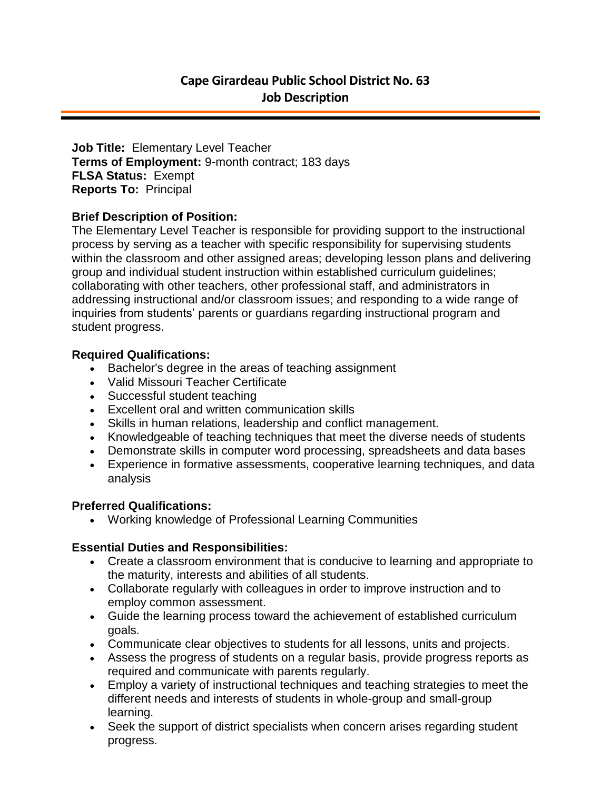**Job Title:** Elementary Level Teacher **Terms of Employment:** 9-month contract; 183 days **FLSA Status:** Exempt **Reports To:** Principal

# **Brief Description of Position:**

The Elementary Level Teacher is responsible for providing support to the instructional process by serving as a teacher with specific responsibility for supervising students within the classroom and other assigned areas; developing lesson plans and delivering group and individual student instruction within established curriculum guidelines; collaborating with other teachers, other professional staff, and administrators in addressing instructional and/or classroom issues; and responding to a wide range of inquiries from students' parents or guardians regarding instructional program and student progress.

### **Required Qualifications:**

- Bachelor's degree in the areas of teaching assignment
- Valid Missouri Teacher Certificate
- Successful student teaching
- Excellent oral and written communication skills
- Skills in human relations, leadership and conflict management.
- Knowledgeable of teaching techniques that meet the diverse needs of students
- Demonstrate skills in computer word processing, spreadsheets and data bases
- Experience in formative assessments, cooperative learning techniques, and data analysis

# **Preferred Qualifications:**

Working knowledge of Professional Learning Communities

### **Essential Duties and Responsibilities:**

- Create a classroom environment that is conducive to learning and appropriate to the maturity, interests and abilities of all students.
- Collaborate regularly with colleagues in order to improve instruction and to employ common assessment.
- Guide the learning process toward the achievement of established curriculum goals.
- Communicate clear objectives to students for all lessons, units and projects.
- Assess the progress of students on a regular basis, provide progress reports as required and communicate with parents regularly.
- Employ a variety of instructional techniques and teaching strategies to meet the different needs and interests of students in whole-group and small-group learning.
- Seek the support of district specialists when concern arises regarding student progress.